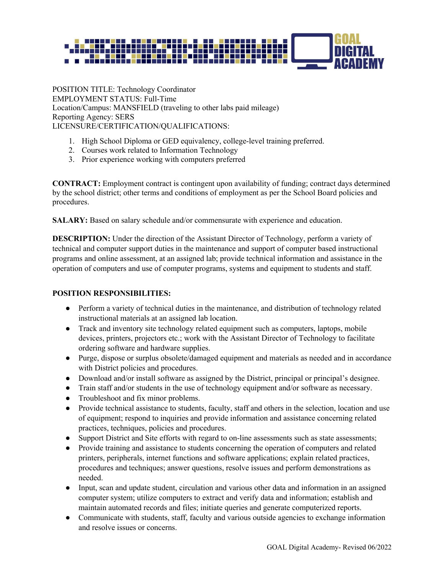

POSITION TITLE: Technology Coordinator EMPLOYMENT STATUS: Full-Time Location/Campus: MANSFIELD (traveling to other labs paid mileage) Reporting Agency: SERS LICENSURE/CERTIFICATION/QUALIFICATIONS:

- 1. High School Diploma or GED equivalency, college-level training preferred.
- 2. Courses work related to Information Technology
- 3. Prior experience working with computers preferred

**CONTRACT:** Employment contract is contingent upon availability of funding; contract days determined by the school district; other terms and conditions of employment as per the School Board policies and procedures.

**SALARY:** Based on salary schedule and/or commensurate with experience and education.

**DESCRIPTION:** Under the direction of the Assistant Director of Technology, perform a variety of technical and computer support duties in the maintenance and support of computer based instructional programs and online assessment, at an assigned lab; provide technical information and assistance in the operation of computers and use of computer programs, systems and equipment to students and staff.

## **POSITION RESPONSIBILITIES:**

- Perform a variety of technical duties in the maintenance, and distribution of technology related instructional materials at an assigned lab location.
- Track and inventory site technology related equipment such as computers, laptops, mobile devices, printers, projectors etc.; work with the Assistant Director of Technology to facilitate ordering software and hardware supplies.
- Purge, dispose or surplus obsolete/damaged equipment and materials as needed and in accordance with District policies and procedures.
- Download and/or install software as assigned by the District, principal or principal's designee.
- Train staff and/or students in the use of technology equipment and/or software as necessary.
- Troubleshoot and fix minor problems.
- Provide technical assistance to students, faculty, staff and others in the selection, location and use of equipment; respond to inquiries and provide information and assistance concerning related practices, techniques, policies and procedures.
- Support District and Site efforts with regard to on-line assessments such as state assessments;
- Provide training and assistance to students concerning the operation of computers and related printers, peripherals, internet functions and software applications; explain related practices, procedures and techniques; answer questions, resolve issues and perform demonstrations as needed.
- Input, scan and update student, circulation and various other data and information in an assigned computer system; utilize computers to extract and verify data and information; establish and maintain automated records and files; initiate queries and generate computerized reports.
- Communicate with students, staff, faculty and various outside agencies to exchange information and resolve issues or concerns.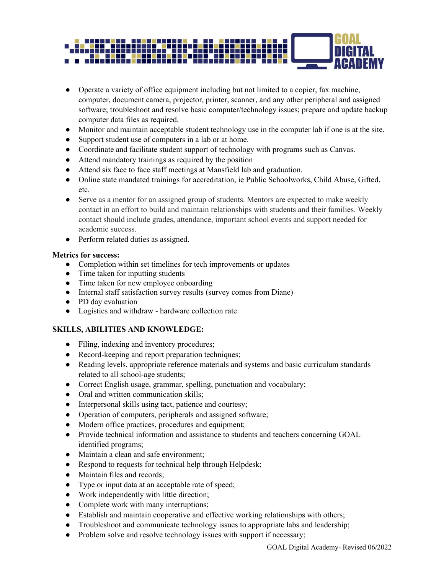

- Operate a variety of office equipment including but not limited to a copier, fax machine, computer, document camera, projector, printer, scanner, and any other peripheral and assigned software; troubleshoot and resolve basic computer/technology issues; prepare and update backup computer data files as required.
- Monitor and maintain acceptable student technology use in the computer lab if one is at the site.
- Support student use of computers in a lab or at home.
- Coordinate and facilitate student support of technology with programs such as Canvas.
- Attend mandatory trainings as required by the position
- Attend six face to face staff meetings at Mansfield lab and graduation.
- Online state mandated trainings for accreditation, ie Public Schoolworks, Child Abuse, Gifted, etc.
- Serve as a mentor for an assigned group of students. Mentors are expected to make weekly contact in an effort to build and maintain relationships with students and their families. Weekly contact should include grades, attendance, important school events and support needed for academic success.
- Perform related duties as assigned.

#### **Metrics for success:**

- Completion within set timelines for tech improvements or updates
- Time taken for inputting students
- Time taken for new employee onboarding
- Internal staff satisfaction survey results (survey comes from Diane)
- PD day evaluation
- Logistics and withdraw hardware collection rate

# **SKILLS, ABILITIES AND KNOWLEDGE:**

- Filing, indexing and inventory procedures;
- Record-keeping and report preparation techniques;
- Reading levels, appropriate reference materials and systems and basic curriculum standards related to all school-age students;
- Correct English usage, grammar, spelling, punctuation and vocabulary;
- Oral and written communication skills;
- Interpersonal skills using tact, patience and courtesy;
- Operation of computers, peripherals and assigned software;
- Modern office practices, procedures and equipment;
- Provide technical information and assistance to students and teachers concerning GOAL identified programs;
- Maintain a clean and safe environment;
- Respond to requests for technical help through Helpdesk;
- Maintain files and records;
- Type or input data at an acceptable rate of speed;
- Work independently with little direction;
- Complete work with many interruptions;
- Establish and maintain cooperative and effective working relationships with others;
- Troubleshoot and communicate technology issues to appropriate labs and leadership;
- Problem solve and resolve technology issues with support if necessary;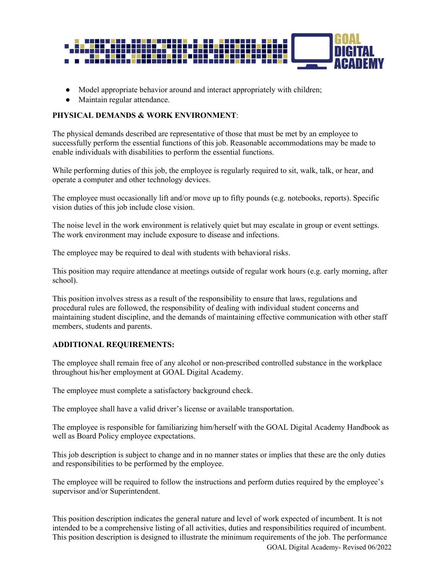

- Model appropriate behavior around and interact appropriately with children;
- Maintain regular attendance.

# **PHYSICAL DEMANDS & WORK ENVIRONMENT**:

The physical demands described are representative of those that must be met by an employee to successfully perform the essential functions of this job. Reasonable accommodations may be made to enable individuals with disabilities to perform the essential functions.

While performing duties of this job, the employee is regularly required to sit, walk, talk, or hear, and operate a computer and other technology devices.

The employee must occasionally lift and/or move up to fifty pounds (e.g. notebooks, reports). Specific vision duties of this job include close vision.

The noise level in the work environment is relatively quiet but may escalate in group or event settings. The work environment may include exposure to disease and infections.

The employee may be required to deal with students with behavioral risks.

This position may require attendance at meetings outside of regular work hours (e.g. early morning, after school).

This position involves stress as a result of the responsibility to ensure that laws, regulations and procedural rules are followed, the responsibility of dealing with individual student concerns and maintaining student discipline, and the demands of maintaining effective communication with other staff members, students and parents.

## **ADDITIONAL REQUIREMENTS:**

The employee shall remain free of any alcohol or non-prescribed controlled substance in the workplace throughout his/her employment at GOAL Digital Academy.

The employee must complete a satisfactory background check.

The employee shall have a valid driver's license or available transportation.

The employee is responsible for familiarizing him/herself with the GOAL Digital Academy Handbook as well as Board Policy employee expectations.

This job description is subject to change and in no manner states or implies that these are the only duties and responsibilities to be performed by the employee.

The employee will be required to follow the instructions and perform duties required by the employee's supervisor and/or Superintendent.

This position description indicates the general nature and level of work expected of incumbent. It is not intended to be a comprehensive listing of all activities, duties and responsibilities required of incumbent. This position description is designed to illustrate the minimum requirements of the job. The performance

GOAL Digital Academy- Revised 06/2022